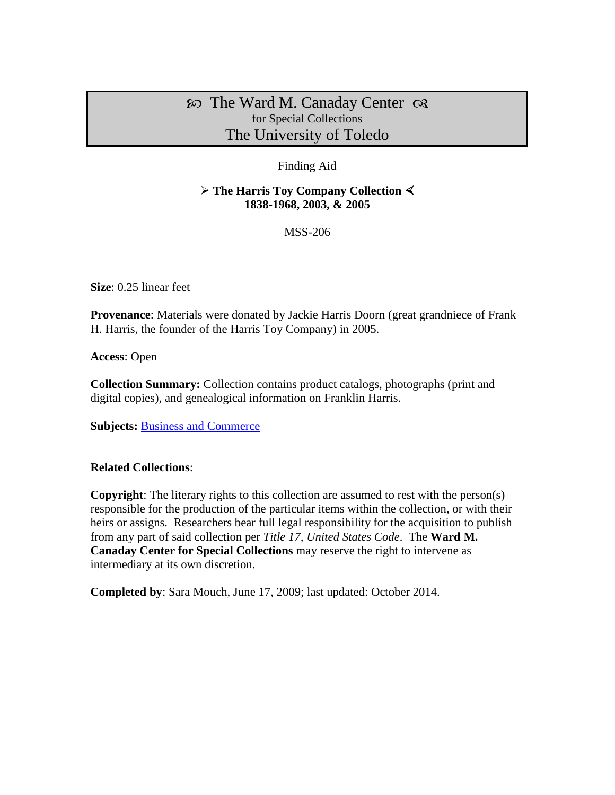# $\infty$  The Ward M. Canaday Center  $\infty$ for Special Collections The University of Toledo

## Finding Aid

### **The Harris Toy Company Collection 1838-1968, 2003, & 2005**

MSS-206

**Size**: 0.25 linear feet

**Provenance**: Materials were donated by Jackie Harris Doorn (great grandniece of Frank H. Harris, the founder of the Harris Toy Company) in 2005.

**Access**: Open

**Collection Summary:** Collection contains product catalogs, photographs (print and digital copies), and genealogical information on Franklin Harris.

**Subjects:** [Business and Commerce](http://www.utoledo.edu/library/canaday/guidepages/business.html) 

#### **Related Collections**:

**Copyright**: The literary rights to this collection are assumed to rest with the person(s) responsible for the production of the particular items within the collection, or with their heirs or assigns. Researchers bear full legal responsibility for the acquisition to publish from any part of said collection per *Title 17, United States Code*. The **Ward M. Canaday Center for Special Collections** may reserve the right to intervene as intermediary at its own discretion.

**Completed by**: Sara Mouch, June 17, 2009; last updated: October 2014.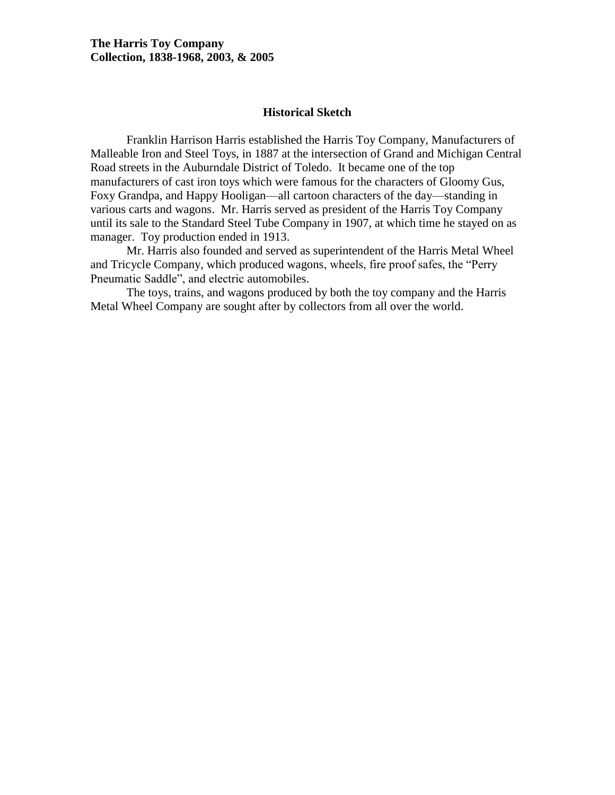#### **Historical Sketch**

Franklin Harrison Harris established the Harris Toy Company, Manufacturers of Malleable Iron and Steel Toys, in 1887 at the intersection of Grand and Michigan Central Road streets in the Auburndale District of Toledo. It became one of the top manufacturers of cast iron toys which were famous for the characters of Gloomy Gus, Foxy Grandpa, and Happy Hooligan—all cartoon characters of the day—standing in various carts and wagons. Mr. Harris served as president of the Harris Toy Company until its sale to the Standard Steel Tube Company in 1907, at which time he stayed on as manager. Toy production ended in 1913.

Mr. Harris also founded and served as superintendent of the Harris Metal Wheel and Tricycle Company, which produced wagons, wheels, fire proof safes, the "Perry Pneumatic Saddle", and electric automobiles.

The toys, trains, and wagons produced by both the toy company and the Harris Metal Wheel Company are sought after by collectors from all over the world.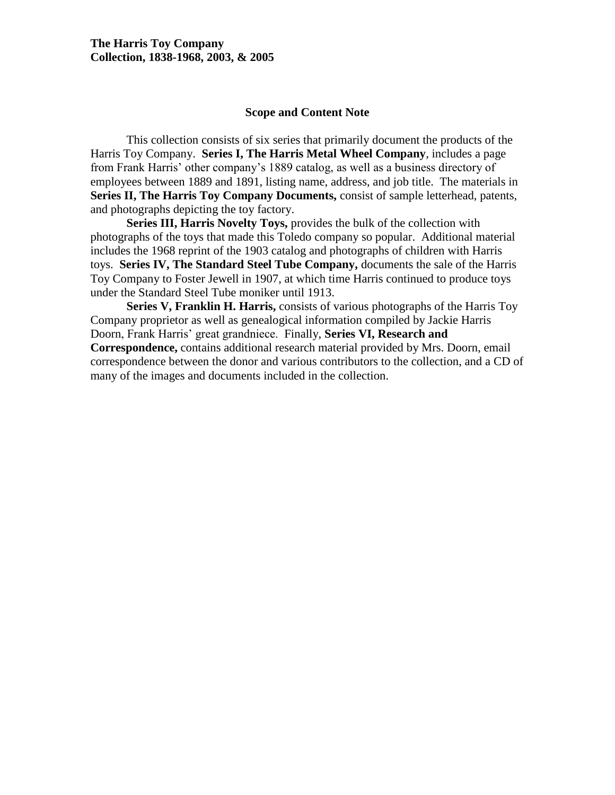#### **Scope and Content Note**

This collection consists of six series that primarily document the products of the Harris Toy Company. **Series I, The Harris Metal Wheel Company**, includes a page from Frank Harris' other company's 1889 catalog, as well as a business directory of employees between 1889 and 1891, listing name, address, and job title. The materials in **Series II, The Harris Toy Company Documents,** consist of sample letterhead, patents, and photographs depicting the toy factory.

**Series III, Harris Novelty Toys,** provides the bulk of the collection with photographs of the toys that made this Toledo company so popular. Additional material includes the 1968 reprint of the 1903 catalog and photographs of children with Harris toys. **Series IV, The Standard Steel Tube Company,** documents the sale of the Harris Toy Company to Foster Jewell in 1907, at which time Harris continued to produce toys under the Standard Steel Tube moniker until 1913.

**Series V, Franklin H. Harris,** consists of various photographs of the Harris Toy Company proprietor as well as genealogical information compiled by Jackie Harris Doorn, Frank Harris' great grandniece. Finally, **Series VI, Research and Correspondence,** contains additional research material provided by Mrs. Doorn, email correspondence between the donor and various contributors to the collection, and a CD of many of the images and documents included in the collection.